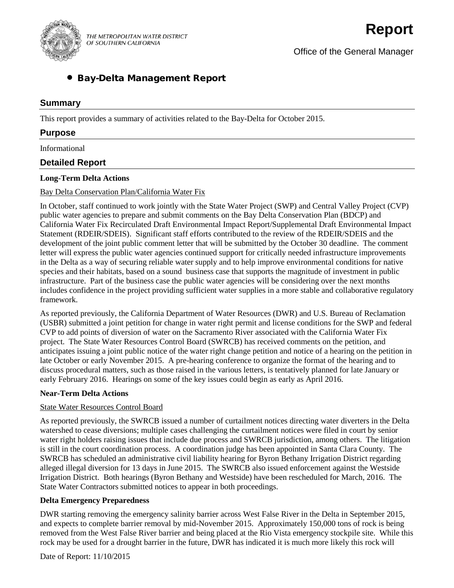

THE METROPOLITAN WATER DISTRICT OF SOUTHERN CALIFORNIA

Office of the General Manager

# • Bay-Delta Management Report

# **Summary**

This report provides a summary of activities related to the Bay-Delta for October 2015.

# **Purpose**

Informational

# **Detailed Report**

### **Long-Term Delta Actions**

### Bay Delta Conservation Plan/California Water Fix

In October, staff continued to work jointly with the State Water Project (SWP) and Central Valley Project (CVP) public water agencies to prepare and submit comments on the Bay Delta Conservation Plan (BDCP) and California Water Fix Recirculated Draft Environmental Impact Report/Supplemental Draft Environmental Impact Statement (RDEIR/SDEIS). Significant staff efforts contributed to the review of the RDEIR/SDEIS and the development of the joint public comment letter that will be submitted by the October 30 deadline. The comment letter will express the public water agencies continued support for critically needed infrastructure improvements in the Delta as a way of securing reliable water supply and to help improve environmental conditions for native species and their habitats, based on a sound business case that supports the magnitude of investment in public infrastructure. Part of the business case the public water agencies will be considering over the next months includes confidence in the project providing sufficient water supplies in a more stable and collaborative regulatory framework.

As reported previously, the California Department of Water Resources (DWR) and U.S. Bureau of Reclamation (USBR) submitted a joint petition for change in water right permit and license conditions for the SWP and federal CVP to add points of diversion of water on the Sacramento River associated with the California Water Fix project. The State Water Resources Control Board (SWRCB) has received comments on the petition, and anticipates issuing a joint public notice of the water right change petition and notice of a hearing on the petition in late October or early November 2015. A pre-hearing conference to organize the format of the hearing and to discuss procedural matters, such as those raised in the various letters, is tentatively planned for late January or early February 2016. Hearings on some of the key issues could begin as early as April 2016.

#### **Near-Term Delta Actions**

#### State Water Resources Control Board

As reported previously, the SWRCB issued a number of curtailment notices directing water diverters in the Delta watershed to cease diversions; multiple cases challenging the curtailment notices were filed in court by senior water right holders raising issues that include due process and SWRCB jurisdiction, among others. The litigation is still in the court coordination process. A coordination judge has been appointed in Santa Clara County. The SWRCB has scheduled an administrative civil liability hearing for Byron Bethany Irrigation District regarding alleged illegal diversion for 13 days in June 2015. The SWRCB also issued enforcement against the Westside Irrigation District. Both hearings (Byron Bethany and Westside) have been rescheduled for March, 2016. The State Water Contractors submitted notices to appear in both proceedings.

# **Delta Emergency Preparedness**

DWR starting removing the emergency salinity barrier across West False River in the Delta in September 2015, and expects to complete barrier removal by mid-November 2015. Approximately 150,000 tons of rock is being removed from the West False River barrier and being placed at the Rio Vista emergency stockpile site. While this rock may be used for a drought barrier in the future, DWR has indicated it is much more likely this rock will

Date of Report: 11/10/2015